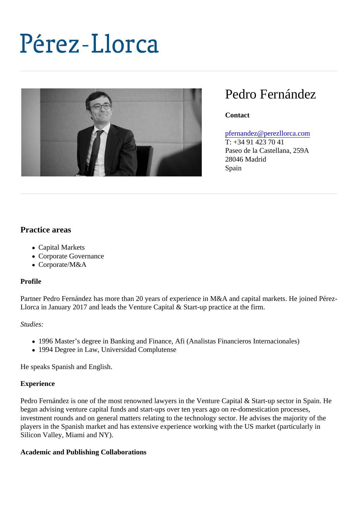# Pedro Fernández

**Contact** 

#### [pfernandez@perezllorca.co](mailto:pfernandez@perezllorca.com)m

T: +34 91 423 70 41 Paseo de la Castellana, 259A 28046 Madrid Spain

# Practice areas

- Capital Markets
- Corporate Governance
- Corporate/M&A

#### Profile

Partner Pedro Fernández has more than 20 years of experience in M&A and capital markets. He joined Pe Llorca in January 2017 and leads the Venture Capital & Start-up practice at the firm.

Studies:

- 1996 Master's degree in Banking and Finance, Afi (Analistas Financieros Internacionales)
- 1994 Degree in Law, Universidad Complutense

He speaks Spanish and English.

#### Experience

Pedro Fernández is one of the most renowned lawyers in the Venture Capital & Start-up sector in Spain. H began advising venture capital funds and start-ups over ten years ago on re-domestication processes, investment rounds and on general matters relating to the technology sector. He advises the majority of the players in the Spanish market and has extensive experience working with the US market (particularly in Silicon Valley, Miami and NY).

Academic and Publishing Collaborations